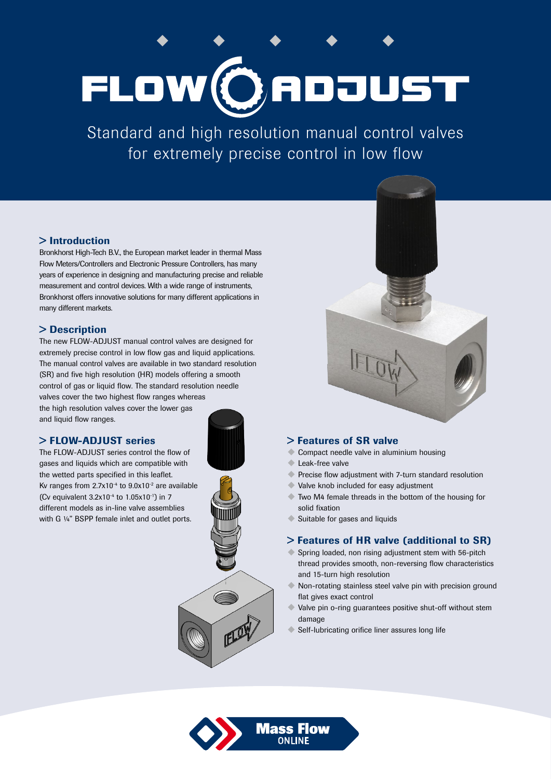# FLOW (ORDJUST

Standard and high resolution manual control valves for extremely precise control in low flow

## > Introduction

Bronkhorst High-Tech B.V., the European market leader in thermal Mass Flow Meters/Controllers and Electronic Pressure Controllers, has many years of experience in designing and manufacturing precise and reliable measurement and control devices. With a wide range of instruments, Bronkhorst offers innovative solutions for many different applications in many different markets.

# > Description

The new FLOW-ADJUST manual control valves are designed for extremely precise control in low flow gas and liquid applications. The manual control valves are available in two standard resolution (SR) and five high resolution (HR) models offering a smooth control of gas or liquid flow. The standard resolution needle valves cover the two highest flow ranges whereas the high resolution valves cover the lower gas and liquid flow ranges.

## > FLOW-ADJUST series

The FLOW-ADJUST series control the flow of gases and liquids which are compatible with the wetted parts specified in this leaflet. Kv ranges from  $2.7x10^{-4}$  to  $9.0x10^{-2}$  are available (Cv equivalent  $3.2x10^{-4}$  to  $1.05x10^{-1}$ ) in 7 different models as in-line valve assemblies with G 1/4" BSPP female inlet and outlet ports.







## > Features of SR valve

- Compact needle valve in aluminium housing
- Leak-free valve
- ◆ Precise flow adjustment with 7-turn standard resolution
- $\blacklozenge$  Valve knob included for easy adjustment
- $\blacklozenge$  Two M4 female threads in the bottom of the housing for solid fixation
- $\blacklozenge$  Suitable for gases and liquids

## > Features of HR valve (additional to SR)

- $\blacklozenge$  Spring loaded, non rising adjustment stem with 56-pitch thread provides smooth, non-reversing flow characteristics and 15-turn high resolution
- Non-rotating stainless steel valve pin with precision ground flat gives exact control
- $\blacklozenge$  Valve pin o-ring guarantees positive shut-off without stem damage
- Self-lubricating orifice liner assures long life